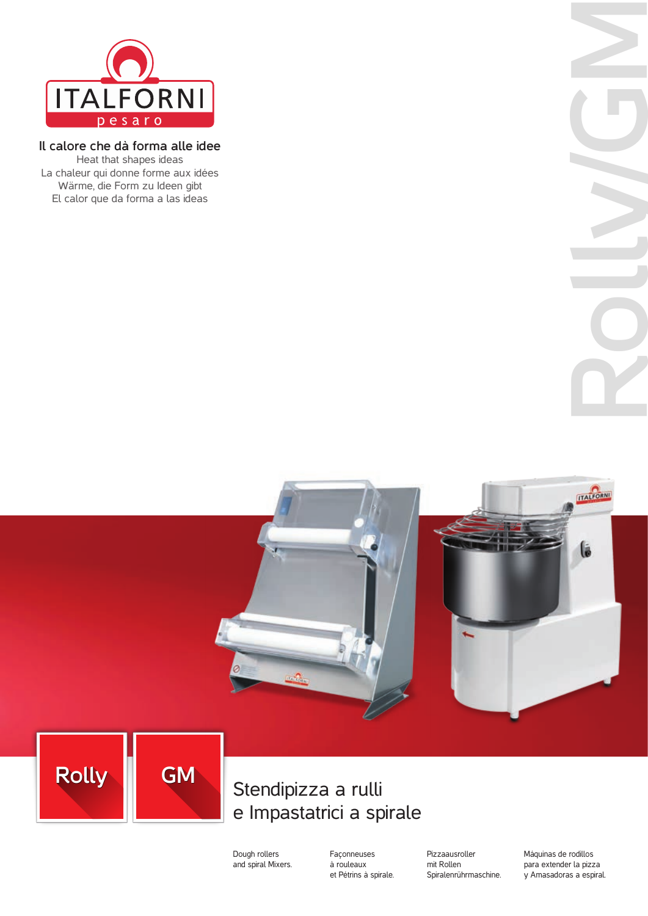

### **Il calore che dà forma alle idee**

Heat that shapes ideas La chaleur qui donne forme aux idées Wärme, die Form zu Ideen gibt El calor que da forma a las ideas





## Stendipizza a rulli e Impastatrici a spirale

Dough rollers and spiral Mixers. Façonneuses à rouleaux et Pétrins à spirale. Pizzaausroller mit Rollen Spiralenrührmaschine. Máquinas de rodillos para extender la pizza y Amasadoras a espiral.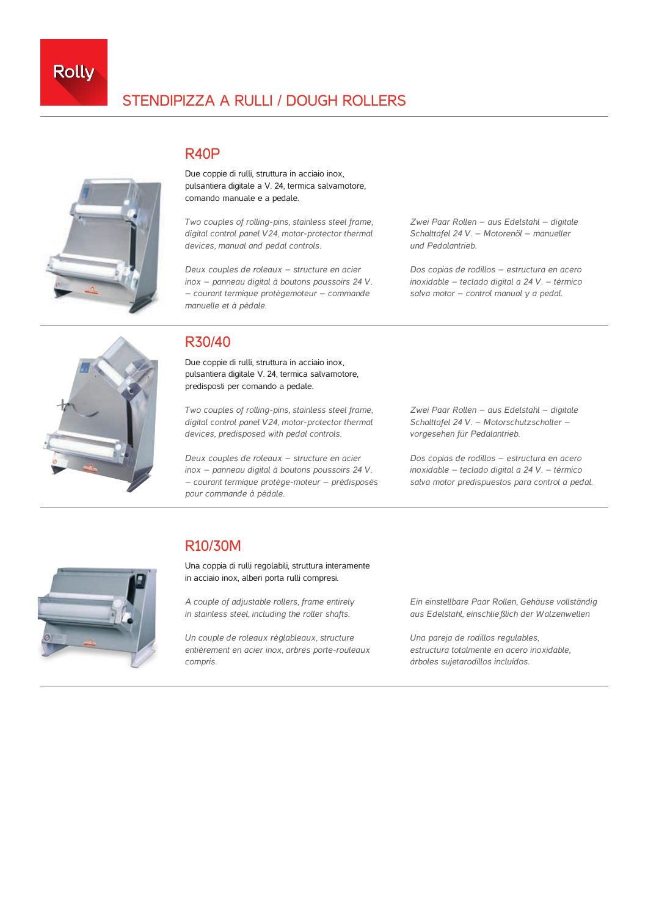

## STENDIPIZZA A RULLI / DOUGH ROLLERS

## R40P



Due coppie di rulli, struttura in acciaio inox, pulsantiera digitale a V. 24, termica salvamotore, comando manuale e a pedale.

*Two couples of rolling-pins, stainless steel frame, digital control panel V24, motor-protector thermal devices, manual and pedal controls.*

*Deux couples de roleaux – structure en acier inox – panneau digital à boutons poussoirs 24 V. – courant termique protègemoteur – commande manuelle et à pédale.*

*Zwei Paar Rollen – aus Edelstahl – digitale Schalttafel 24 V. – Motorenöl – manueller und Pedalantrieb.*

*Dos copias de rodillos – estructura en acero inoxidable – teclado digital a 24 V. – térmico salva motor – control manual y a pedal.*



## R30/40

Due coppie di rulli, struttura in acciaio inox, pulsantiera digitale V. 24, termica salvamotore, predisposti per comando a pedale.

*Two couples of rolling-pins, stainless steel frame, digital control panel V24, motor-protector thermal devices, predisposed with pedal controls.*

*Deux couples de roleaux – structure en acier inox – panneau digital à boutons poussoirs 24 V. – courant termique protège-moteur – prédisposés pour commande à pédale.*

*Zwei Paar Rollen – aus Edelstahl – digitale Schalttafel 24 V. – Motorschutzschalter – vorgesehen für Pedalantrieb.*

*Dos copias de rodillos – estructura en acero inoxidable – teclado digital a 24 V. – térmico salva motor predispuestos para control a pedal.*

# R10/30M

Una coppia di rulli regolabili, struttura interamente in acciaio inox, alberi porta rulli compresi.

*A couple of adjustable rollers, frame entirely in stainless steel, including the roller shafts.*

*Un couple de roleaux réglableaux, structure entièrement en acier inox, arbres porte-rouleaux compris.*

*Ein einstellbare Paar Rollen, Gehäuse vollständig aus Edelstahl, einschließlich der Walzenwellen*

*Una pareja de rodillos regulables, estructura totalmente en acero inoxidable, árboles sujetarodillos incluídos.*

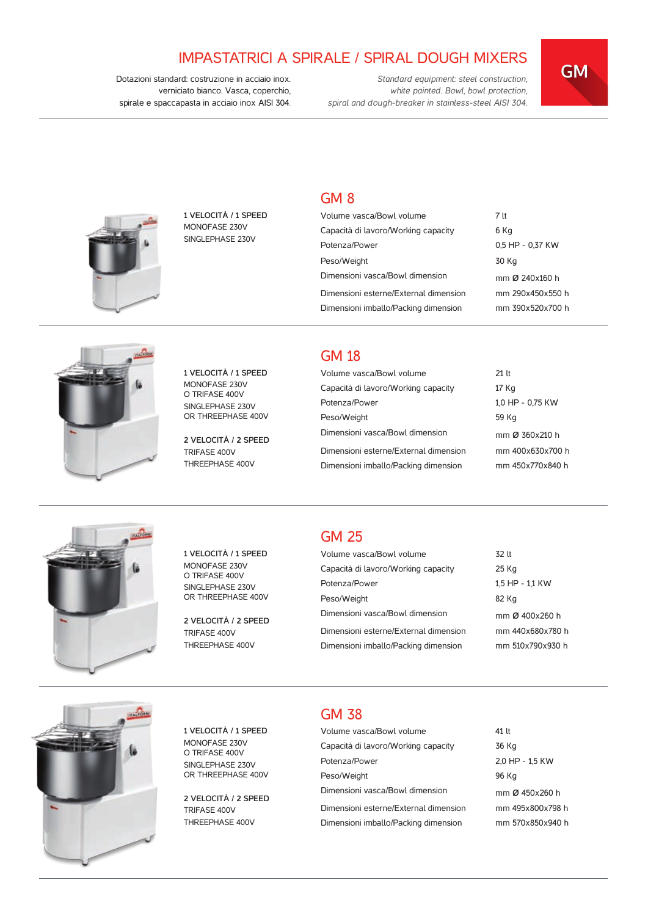## IMPASTATRICI A SPIRALE / SPIRAL DOUGH MIXERS

*Standard equipment: steel construction, white painted. Bowl, bowl protection, spiral and dough-breaker in stainless-steel AISI 304.*

**GMGM**

Dotazioni standard: costruzione in acciaio inox. verniciato bianco. Vasca, coperchio, spirale e spaccapasta in acciaio inox AISI 304*.*

#### GM 8

| Volume vasca/Bowl volume              | 7 lt             |
|---------------------------------------|------------------|
| Capacità di lavoro/Working capacity   | 6 Kg             |
| Potenza/Power                         | 0.5 HP - 0.37 KW |
| Peso/Weight                           | 30 Kg            |
| Dimensioni vasca/Bowl dimension       | mm Ø 240x160 h   |
| Dimensioni esterne/External dimension | mm 290x450x550 h |
| Dimensioni imballo/Packing dimension  | mm 390x520x700 h |



**1 VELOCITÀ / 1 SPEED** MONOFASE 230V SINGLEPHASE 230V

**1 VELOCITÀ / 1 SPEED** MONOFASE 230V O TRIFASE 400V SINGLEPHASE 230V OR THREEPHASE 400V

**2 VELOCITÀ / 2 SPEED** TRIFASE 400V THREEPHASE 400V

#### GM 18

| Volume vasca/Bowl volume              | $21$ It          |
|---------------------------------------|------------------|
| Capacità di lavoro/Working capacity   | 17 Kg            |
| Potenza/Power                         | 1.0 HP - 0.75 KW |
| Peso/Weight                           | 59 Kg            |
| Dimensioni vasca/Bowl dimension       | mm Ø 360x210 h   |
| Dimensioni esterne/External dimension | mm 400x630x700 h |
| Dimensioni imballo/Packing dimension  | mm 450x770x840 h |



**1 VELOCITÀ / 1 SPEED** MONOFASE 230V O TRIFASE 400V SINGLEPHASE 230V OR THREEPHASE 400V

**2 VELOCITÀ / 2 SPEED** TRIFASE 400V THREEPHASE 400V

## GM 25

| Volume vasca/Bowl volume              | 32 lt            |
|---------------------------------------|------------------|
| Capacità di lavoro/Working capacity   | 25 Kg            |
| Potenza/Power                         | 1.5 HP - 1.1 KW  |
| Peso/Weight                           | 82 Kg            |
| Dimensioni vasca/Bowl dimension       | mm Ø 400x260 h   |
| Dimensioni esterne/External dimension | mm 440x680x780 h |
| Dimensioni imballo/Packing dimension  | mm 510x790x930 h |
|                                       |                  |



**1 VELOCITÀ / 1 SPEED** MONOFASE 230V O TRIFASE 400V SINGLEPHASE 230V OR THREEPHASE 400V

**2 VELOCITÀ / 2 SPEED** TRIFASE 400V THREEPHASE 400V

## GM 38

| Volume vasca/Bowl volume              | 41 lt            |
|---------------------------------------|------------------|
| Capacità di lavoro/Working capacity   | 36 Kg            |
| Potenza/Power                         | 2.0 HP - 1.5 KW  |
| Peso/Weight                           | 96 Kg            |
| Dimensioni vasca/Bowl dimension       | mm Ø 450x260 h   |
| Dimensioni esterne/External dimension | mm 495x800x798 h |
| Dimensioni imballo/Packing dimension  | mm 570x850x940 h |